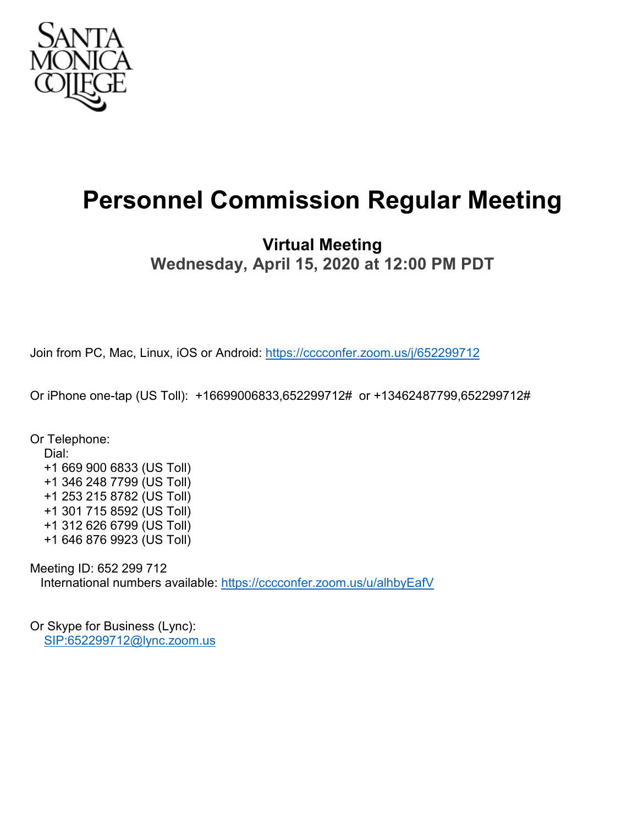

# **Personnel Commission Regular Meeting**

## **Virtual Meeting Wednesday, April 15, 2020 at 12:00 PM PDT**

Join from PC, Mac, Linux, iOS or Android:<https://cccconfer.zoom.us/j/652299712>

Or iPhone one-tap (US Toll): +16699006833,652299712# or +13462487799,652299712#

Or Telephone: Dial: +1 669 900 6833 (US Toll) +1 346 248 7799 (US Toll) +1 253 215 8782 (US Toll) +1 301 715 8592 (US Toll) +1 312 626 6799 (US Toll) +1 646 876 9923 (US Toll)

Meeting ID: 652 299 712 International numbers available:<https://cccconfer.zoom.us/u/alhbyEafV>

Or Skype for Business (Lync): [SIP:652299712@lync.zoom.us](sip:652299712@lync.zoom.us)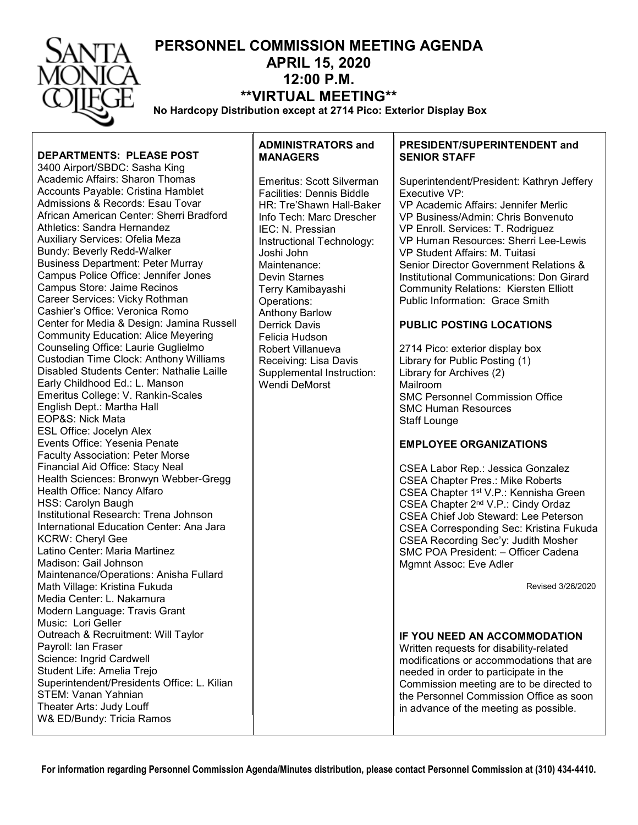| ANTA         | PERSONNEL COMMISSION MEETING AGENDA<br><b>APRIL 15, 2020</b>       |
|--------------|--------------------------------------------------------------------|
| ONICA        | $12:00$ P.M.                                                       |
| <b>DIEGE</b> | <b>**VIRTUAL MEETING**</b>                                         |
|              | No Hardcopy Distribution except at 2714 Pico: Exterior Display Box |

**DEPARTMENTS: PLEASE POST**

3400 Airport/SBDC: Sasha King Academic Affairs: Sharon Thomas Accounts Payable: Cristina Hamblet Admissions & Records: Esau Tovar African American Center: Sherri Bradford Athletics: Sandra Hernandez Auxiliary Services: Ofelia Meza Bundy: Beverly Redd-Walker Business Department: Peter Murray Campus Police Office: Jennifer Jones Campus Store: Jaime Recinos Career Services: Vicky Rothman Cashier's Office: Veronica Romo Center for Media & Design: Jamina Russell Community Education: Alice Meyering Counseling Office: Laurie Guglielmo Custodian Time Clock: Anthony Williams Disabled Students Center: Nathalie Laille Early Childhood Ed.: L. Manson Emeritus College: V. Rankin-Scales English Dept.: Martha Hall EOP&S: Nick Mata ESL Office: Jocelyn Alex Events Office: Yesenia Penate Faculty Association: Peter Morse Financial Aid Office: Stacy Neal Health Sciences: Bronwyn Webber-Gregg Health Office: Nancy Alfaro HSS: Carolyn Baugh Institutional Research: Trena Johnson International Education Center: Ana Jara KCRW: Cheryl Gee Latino Center: Maria Martinez Madison: Gail Johnson Maintenance/Operations: Anisha Fullard Math Village: Kristina Fukuda Media Center: L. Nakamura Modern Language: Travis Grant Music: Lori Geller Outreach & Recruitment: Will Taylor Payroll: Ian Fraser Science: Ingrid Cardwell Student Life: Amelia Trejo Superintendent/Presidents Office: L. Kilian STEM: Vanan Yahnian Theater Arts: Judy Louff W& ED/Bundy: Tricia Ramos

### **ADMINISTRATORS and MANAGERS**

Emeritus: Scott Silverman Facilities: Dennis Biddle HR: Tre'Shawn Hall-Baker Info Tech: Marc Drescher IEC: N. Pressian Instructional Technology: Joshi John Maintenance: Devin Starnes Terry Kamibayashi Operations: Anthony Barlow Derrick Davis Felicia Hudson Robert Villanueva Receiving: Lisa Davis Supplemental Instruction: Wendi DeMorst

### **PRESIDENT/SUPERINTENDENT and SENIOR STAFF**

Superintendent/President: Kathryn Jeffery Executive VP: VP Academic Affairs: Jennifer Merlic VP Business/Admin: Chris Bonvenuto VP Enroll. Services: T. Rodriguez VP Human Resources: Sherri Lee-Lewis VP Student Affairs: M. Tuitasi Senior Director Government Relations & Institutional Communications: Don Girard Community Relations: Kiersten Elliott Public Information: Grace Smith

### **PUBLIC POSTING LOCATIONS**

2714 Pico: exterior display box Library for Public Posting (1) Library for Archives (2) Mailroom SMC Personnel Commission Office SMC Human Resources Staff Lounge

### **EMPLOYEE ORGANIZATIONS**

CSEA Labor Rep.: Jessica Gonzalez CSEA Chapter Pres.: Mike Roberts CSEA Chapter 1st V.P.: Kennisha Green CSEA Chapter 2nd V.P.: Cindy Ordaz CSEA Chief Job Steward: Lee Peterson CSEA Corresponding Sec: Kristina Fukuda CSEA Recording Sec'y: Judith Mosher SMC POA President: – Officer Cadena Mgmnt Assoc: Eve Adler

Revised 3/26/2020

### **IF YOU NEED AN ACCOMMODATION**

Written requests for disability-related modifications or accommodations that are needed in order to participate in the Commission meeting are to be directed to the Personnel Commission Office as soon in advance of the meeting as possible.

**For information regarding Personnel Commission Agenda/Minutes distribution, please contact Personnel Commission at (310) 434-4410.**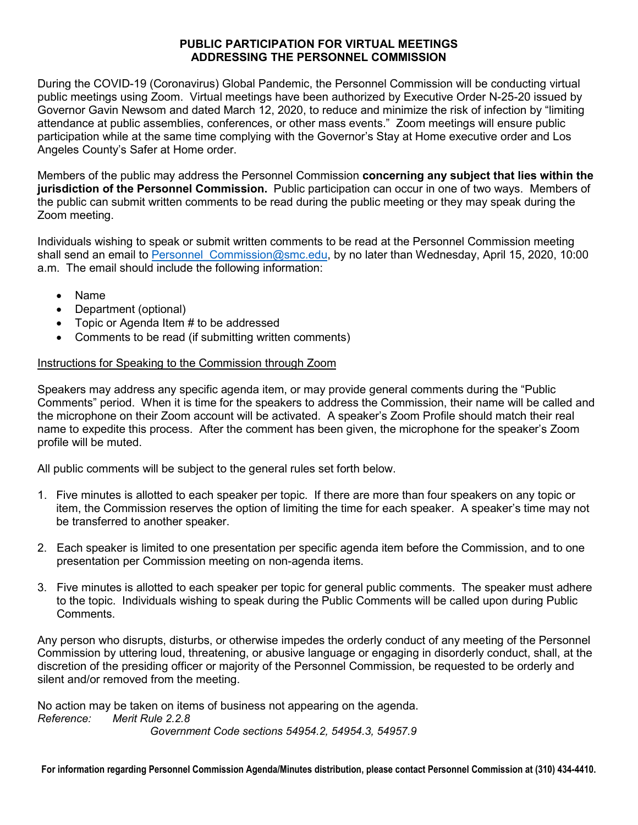### **PUBLIC PARTICIPATION FOR VIRTUAL MEETINGS ADDRESSING THE PERSONNEL COMMISSION**

During the COVID-19 (Coronavirus) Global Pandemic, the Personnel Commission will be conducting virtual public meetings using Zoom. Virtual meetings have been authorized by Executive Order N-25-20 issued by Governor Gavin Newsom and dated March 12, 2020, to reduce and minimize the risk of infection by "limiting attendance at public assemblies, conferences, or other mass events." Zoom meetings will ensure public participation while at the same time complying with the Governor's Stay at Home executive order and Los Angeles County's Safer at Home order.

Members of the public may address the Personnel Commission **concerning any subject that lies within the jurisdiction of the Personnel Commission.** Public participation can occur in one of two ways. Members of the public can submit written comments to be read during the public meeting or they may speak during the Zoom meeting.

Individuals wishing to speak or submit written comments to be read at the Personnel Commission meeting shall send an email to Personnel Commission@smc.edu, by no later than Wednesday, April 15, 2020, 10:00 a.m. The email should include the following information:

- Name
- Department (optional)
- Topic or Agenda Item # to be addressed
- Comments to be read (if submitting written comments)

### Instructions for Speaking to the Commission through Zoom

Speakers may address any specific agenda item, or may provide general comments during the "Public Comments" period. When it is time for the speakers to address the Commission, their name will be called and the microphone on their Zoom account will be activated. A speaker's Zoom Profile should match their real name to expedite this process. After the comment has been given, the microphone for the speaker's Zoom profile will be muted.

All public comments will be subject to the general rules set forth below.

- 1. Five minutes is allotted to each speaker per topic. If there are more than four speakers on any topic or item, the Commission reserves the option of limiting the time for each speaker. A speaker's time may not be transferred to another speaker.
- 2. Each speaker is limited to one presentation per specific agenda item before the Commission, and to one presentation per Commission meeting on non-agenda items.
- 3. Five minutes is allotted to each speaker per topic for general public comments. The speaker must adhere to the topic. Individuals wishing to speak during the Public Comments will be called upon during Public Comments.

Any person who disrupts, disturbs, or otherwise impedes the orderly conduct of any meeting of the Personnel Commission by uttering loud, threatening, or abusive language or engaging in disorderly conduct, shall, at the discretion of the presiding officer or majority of the Personnel Commission, be requested to be orderly and silent and/or removed from the meeting.

No action may be taken on items of business not appearing on the agenda. *Reference: Merit Rule 2.2.8 Government Code sections 54954.2, 54954.3, 54957.9*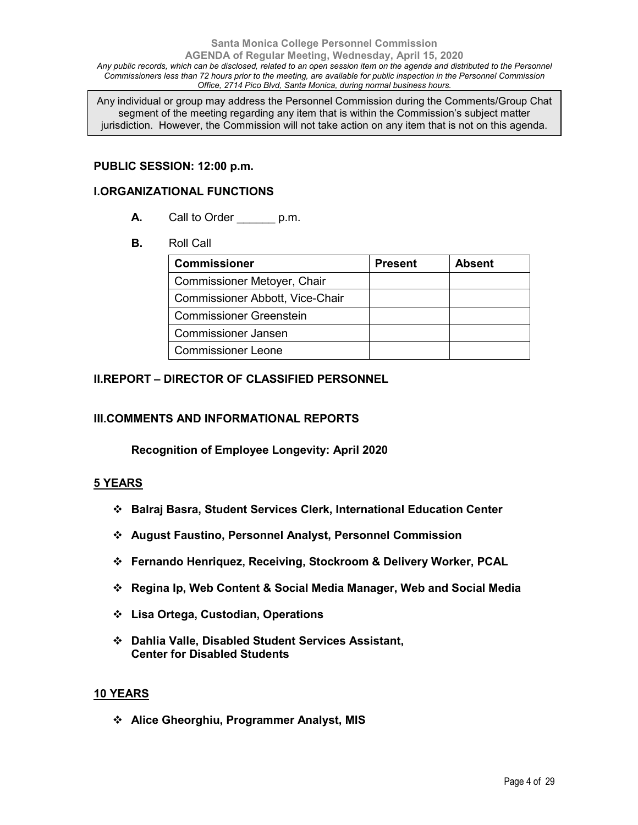### **Santa Monica College Personnel Commission AGENDA of Regular Meeting, Wednesday, April 15, 2020** Any public records, which can be disclosed, related to an open session item on the agenda and distributed to the Personnel *Commissioners less than 72 hours prior to the meeting, are available for public inspection in the Personnel Commission Office, 2714 Pico Blvd, Santa Monica, during normal business hours.*

Any individual or group may address the Personnel Commission during the Comments/Group Chat segment of the meeting regarding any item that is within the Commission's subject matter jurisdiction. However, the Commission will not take action on any item that is not on this agenda.

### **PUBLIC SESSION: 12:00 p.m.**

### **I.ORGANIZATIONAL FUNCTIONS**

- **A.** Call to Order p.m.
- **B.** Roll Call

| <b>Commissioner</b>             | <b>Present</b> | <b>Absent</b> |
|---------------------------------|----------------|---------------|
| Commissioner Metoyer, Chair     |                |               |
| Commissioner Abbott, Vice-Chair |                |               |
| <b>Commissioner Greenstein</b>  |                |               |
| <b>Commissioner Jansen</b>      |                |               |
| <b>Commissioner Leone</b>       |                |               |

### **II.REPORT – DIRECTOR OF CLASSIFIED PERSONNEL**

### **III.COMMENTS AND INFORMATIONAL REPORTS**

**Recognition of Employee Longevity: April 2020**

### **5 YEARS**

- **Balraj Basra, Student Services Clerk, International Education Center**
- **August Faustino, Personnel Analyst, Personnel Commission**
- **Fernando Henriquez, Receiving, Stockroom & Delivery Worker, PCAL**
- **Regina Ip, Web Content & Social Media Manager, Web and Social Media**
- **Lisa Ortega, Custodian, Operations**
- **Dahlia Valle, Disabled Student Services Assistant, Center for Disabled Students**

### **10 YEARS**

**Alice Gheorghiu, Programmer Analyst, MIS**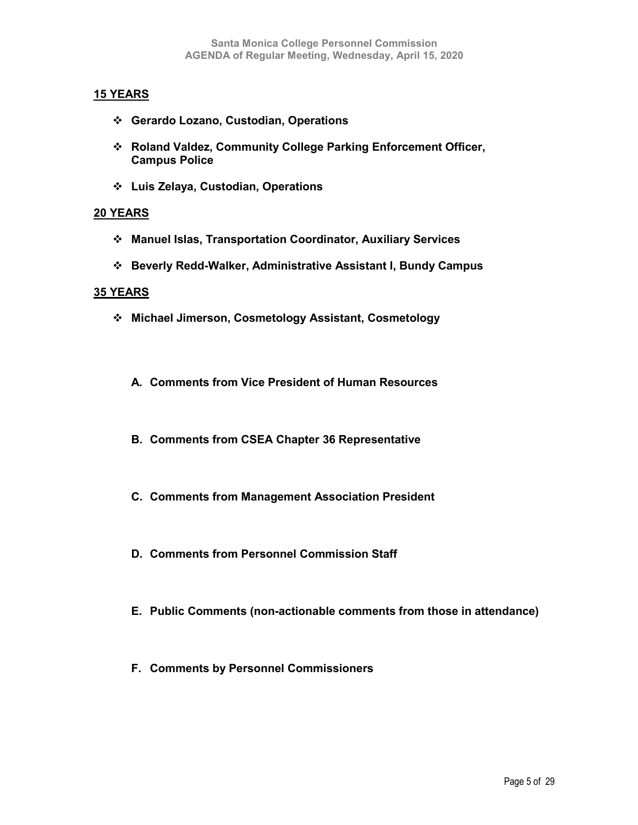### **15 YEARS**

- **Gerardo Lozano, Custodian, Operations**
- **Roland Valdez, Community College Parking Enforcement Officer, Campus Police**
- **Luis Zelaya, Custodian, Operations**

### **20 YEARS**

- **Manuel Islas, Transportation Coordinator, Auxiliary Services**
- **Beverly Redd-Walker, Administrative Assistant I, Bundy Campus**

### **35 YEARS**

- **Michael Jimerson, Cosmetology Assistant, Cosmetology**
	- **A. Comments from Vice President of Human Resources**
	- **B. Comments from CSEA Chapter 36 Representative**
	- **C. Comments from Management Association President**
	- **D. Comments from Personnel Commission Staff**
	- **E. Public Comments (non-actionable comments from those in attendance)**
	- **F. Comments by Personnel Commissioners**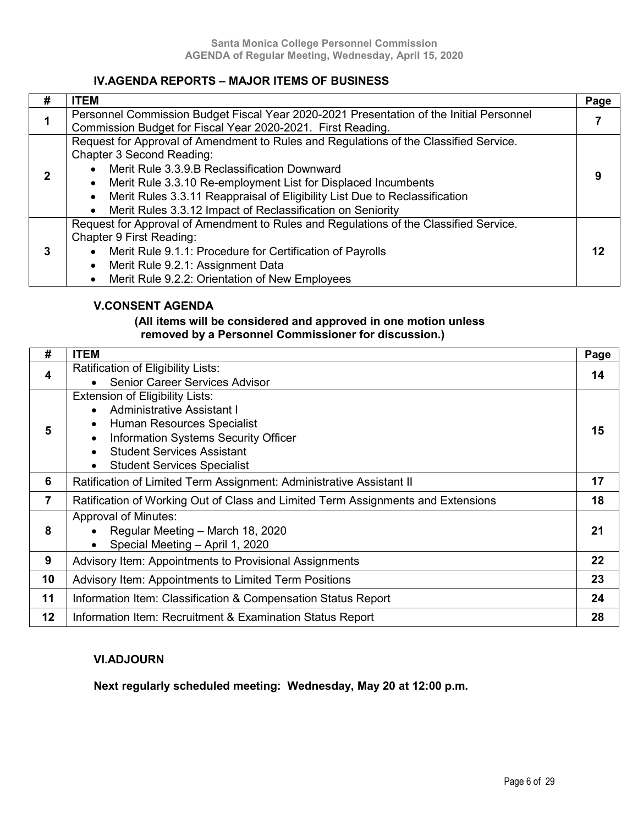### **IV.AGENDA REPORTS – MAJOR ITEMS OF BUSINESS**

| # | <b>ITEM</b>                                                                                                                                                                                                                                                                                                                                                                                                                         | Page |
|---|-------------------------------------------------------------------------------------------------------------------------------------------------------------------------------------------------------------------------------------------------------------------------------------------------------------------------------------------------------------------------------------------------------------------------------------|------|
|   | Personnel Commission Budget Fiscal Year 2020-2021 Presentation of the Initial Personnel<br>Commission Budget for Fiscal Year 2020-2021. First Reading.                                                                                                                                                                                                                                                                              |      |
| 2 | Request for Approval of Amendment to Rules and Regulations of the Classified Service.<br>Chapter 3 Second Reading:<br>Merit Rule 3.3.9.B Reclassification Downward<br>$\bullet$<br>Merit Rule 3.3.10 Re-employment List for Displaced Incumbents<br>$\bullet$<br>Merit Rules 3.3.11 Reappraisal of Eligibility List Due to Reclassification<br>$\bullet$<br>Merit Rules 3.3.12 Impact of Reclassification on Seniority<br>$\bullet$ | 9    |
| 3 | Request for Approval of Amendment to Rules and Regulations of the Classified Service.<br>Chapter 9 First Reading:<br>Merit Rule 9.1.1: Procedure for Certification of Payrolls<br>$\bullet$<br>Merit Rule 9.2.1: Assignment Data<br>$\bullet$<br>Merit Rule 9.2.2: Orientation of New Employees                                                                                                                                     | 12   |

### **V.CONSENT AGENDA**

### **(All items will be considered and approved in one motion unless removed by a Personnel Commissioner for discussion.)**

| #  | <b>ITEM</b>                                                                      | Page |
|----|----------------------------------------------------------------------------------|------|
| 4  | Ratification of Eligibility Lists:                                               | 14   |
|    | <b>Senior Career Services Advisor</b>                                            |      |
|    | <b>Extension of Eligibility Lists:</b>                                           |      |
|    | <b>Administrative Assistant I</b><br>$\bullet$                                   |      |
| 5  | Human Resources Specialist<br>$\bullet$                                          | 15   |
|    | Information Systems Security Officer<br>$\bullet$                                |      |
|    | <b>Student Services Assistant</b><br>$\bullet$                                   |      |
|    | <b>Student Services Specialist</b><br>$\bullet$                                  |      |
| 6  | Ratification of Limited Term Assignment: Administrative Assistant II             | 17   |
| 7  | Ratification of Working Out of Class and Limited Term Assignments and Extensions | 18   |
|    | <b>Approval of Minutes:</b>                                                      |      |
| 8  | Regular Meeting - March 18, 2020<br>$\bullet$                                    | 21   |
|    | Special Meeting - April 1, 2020<br>$\bullet$                                     |      |
| 9  | Advisory Item: Appointments to Provisional Assignments                           | 22   |
| 10 | Advisory Item: Appointments to Limited Term Positions                            | 23   |
| 11 | Information Item: Classification & Compensation Status Report                    | 24   |
| 12 | Information Item: Recruitment & Examination Status Report                        | 28   |

### **VI.ADJOURN**

### **Next regularly scheduled meeting: Wednesday, May 20 at 12:00 p.m.**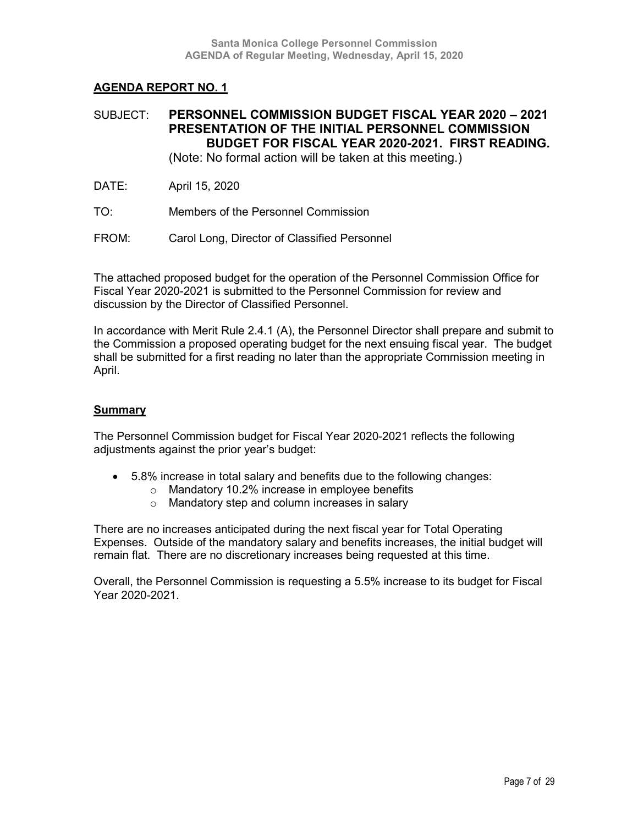### SUBJECT: **PERSONNEL COMMISSION BUDGET FISCAL YEAR 2020 – 2021 PRESENTATION OF THE INITIAL PERSONNEL COMMISSION BUDGET FOR FISCAL YEAR 2020-2021. FIRST READING.**

(Note: No formal action will be taken at this meeting.)

- DATE: April 15, 2020
- TO: Members of the Personnel Commission
- FROM: Carol Long, Director of Classified Personnel

The attached proposed budget for the operation of the Personnel Commission Office for Fiscal Year 2020-2021 is submitted to the Personnel Commission for review and discussion by the Director of Classified Personnel.

In accordance with Merit Rule 2.4.1 (A), the Personnel Director shall prepare and submit to the Commission a proposed operating budget for the next ensuing fiscal year. The budget shall be submitted for a first reading no later than the appropriate Commission meeting in April.

### **Summary**

The Personnel Commission budget for Fiscal Year 2020-2021 reflects the following adjustments against the prior year's budget:

- 5.8% increase in total salary and benefits due to the following changes:
	- o Mandatory 10.2% increase in employee benefits
	- o Mandatory step and column increases in salary

There are no increases anticipated during the next fiscal year for Total Operating Expenses. Outside of the mandatory salary and benefits increases, the initial budget will remain flat. There are no discretionary increases being requested at this time.

Overall, the Personnel Commission is requesting a 5.5% increase to its budget for Fiscal Year 2020-2021.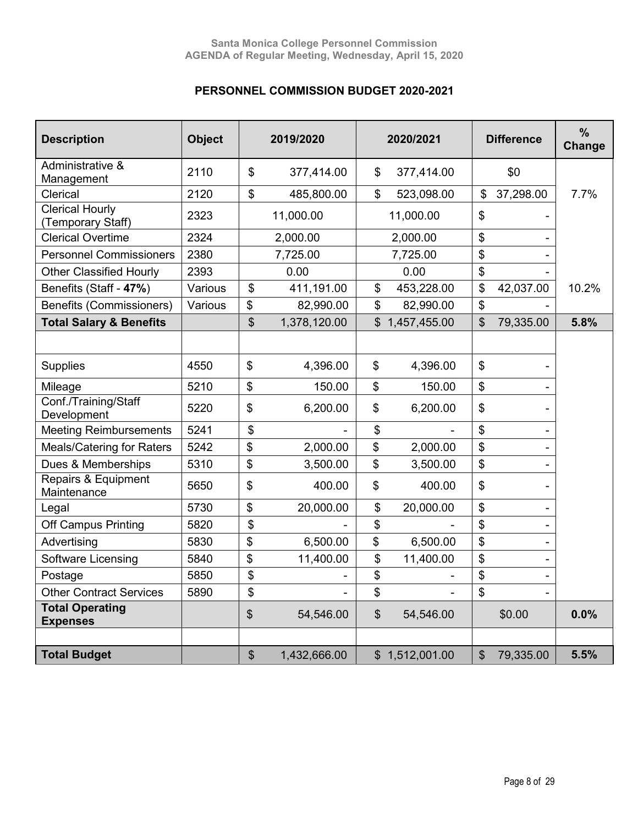### **PERSONNEL COMMISSION BUDGET 2020-2021**

| <b>Description</b>                          | <b>Object</b> | 2019/2020     |              | 2020/2021                  |                |                            | <b>Difference</b> | $\frac{0}{0}$<br>Change |
|---------------------------------------------|---------------|---------------|--------------|----------------------------|----------------|----------------------------|-------------------|-------------------------|
| Administrative &<br>Management              | 2110          | \$            | 377,414.00   | \$                         | 377,414.00     |                            | \$0               |                         |
| Clerical                                    | 2120          | \$            | 485,800.00   | \$                         | 523,098.00     | \$                         | 37,298.00         | 7.7%                    |
| <b>Clerical Hourly</b><br>(Temporary Staff) | 2323          |               | 11,000.00    | 11,000.00                  |                | \$                         |                   |                         |
| <b>Clerical Overtime</b>                    | 2324          |               | 2,000.00     |                            | 2,000.00       | \$                         |                   |                         |
| <b>Personnel Commissioners</b>              | 2380          |               | 7,725.00     |                            | 7,725.00       | $\frac{1}{2}$              |                   |                         |
| <b>Other Classified Hourly</b>              | 2393          |               | 0.00         |                            | 0.00           | $\boldsymbol{\mathsf{\$}}$ |                   |                         |
| Benefits (Staff - 47%)                      | Various       | \$            | 411,191.00   | \$                         | 453,228.00     | \$                         | 42,037.00         | 10.2%                   |
| <b>Benefits (Commissioners)</b>             | Various       | \$            | 82,990.00    | \$                         | 82,990.00      | $\boldsymbol{\mathsf{\$}}$ |                   |                         |
| <b>Total Salary &amp; Benefits</b>          |               | \$            | 1,378,120.00 | $\mathbb{S}^-$             | 1,457,455.00   | \$                         | 79,335.00         | 5.8%                    |
|                                             |               |               |              |                            |                |                            |                   |                         |
| <b>Supplies</b>                             | 4550          | \$            | 4,396.00     | \$                         | 4,396.00       | $\mathfrak{S}$             |                   |                         |
| Mileage                                     | 5210          | \$            | 150.00       | \$                         | 150.00         | $\boldsymbol{\mathsf{\$}}$ |                   |                         |
| Conf./Training/Staff<br>Development         | 5220          | \$            | 6,200.00     | \$                         | 6,200.00       | \$                         |                   |                         |
| <b>Meeting Reimbursements</b>               | 5241          | \$            |              | \$                         |                | $\boldsymbol{\mathsf{\$}}$ |                   |                         |
| <b>Meals/Catering for Raters</b>            | 5242          | \$            | 2,000.00     | \$                         | 2,000.00       | \$                         |                   |                         |
| Dues & Memberships                          | 5310          | \$            | 3,500.00     | \$                         | 3,500.00       | $\frac{1}{2}$              |                   |                         |
| Repairs & Equipment<br>Maintenance          | 5650          | \$            | 400.00       | \$                         | 400.00         | $\boldsymbol{\mathsf{S}}$  |                   |                         |
| Legal                                       | 5730          | \$            | 20,000.00    | \$                         | 20,000.00      | $\frac{1}{2}$              |                   |                         |
| Off Campus Printing                         | 5820          | \$            |              | \$                         |                | $\boldsymbol{\mathsf{\$}}$ |                   |                         |
| Advertising                                 | 5830          | \$            | 6,500.00     | \$                         | 6,500.00       | $\boldsymbol{\mathsf{\$}}$ |                   |                         |
| Software Licensing                          | 5840          | \$            | 11,400.00    | \$                         | 11,400.00      | \$                         |                   |                         |
| Postage                                     | 5850          | \$            |              | \$                         |                | $\frac{1}{2}$              |                   |                         |
| <b>Other Contract Services</b>              | 5890          | \$            |              | \$                         |                | \$                         |                   |                         |
| <b>Total Operating</b><br><b>Expenses</b>   |               | $\frac{1}{2}$ | 54,546.00    | $\boldsymbol{\mathsf{\$}}$ | 54,546.00      |                            | \$0.00            | 0.0%                    |
|                                             |               |               |              |                            |                |                            |                   |                         |
| <b>Total Budget</b>                         |               | \$            | 1,432,666.00 |                            | \$1,512,001.00 | $\boldsymbol{\mathsf{S}}$  | 79,335.00         | 5.5%                    |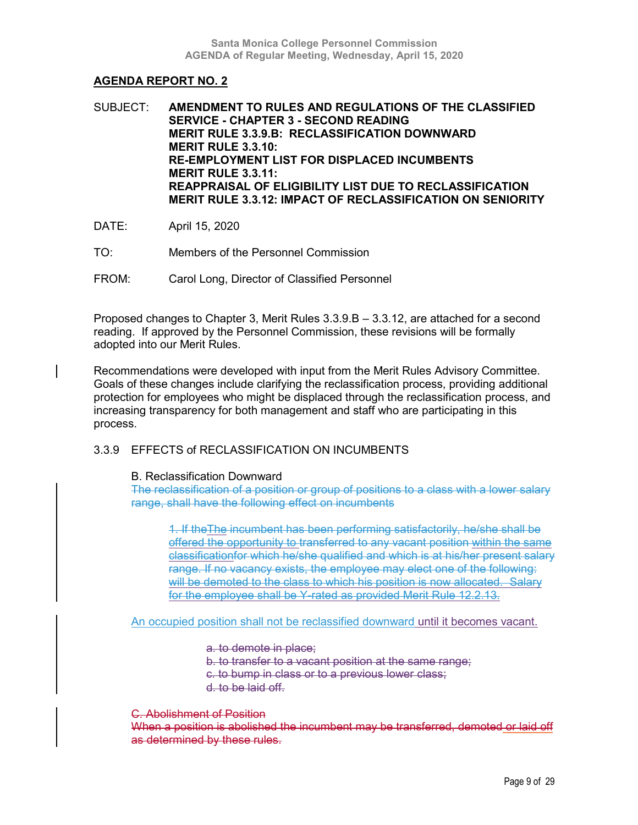SUBJECT: **AMENDMENT TO RULES AND REGULATIONS OF THE CLASSIFIED SERVICE - CHAPTER 3 - SECOND READING MERIT RULE 3.3.9.B: RECLASSIFICATION DOWNWARD MERIT RULE 3.3.10: RE-EMPLOYMENT LIST FOR DISPLACED INCUMBENTS MERIT RULE 3.3.11: REAPPRAISAL OF ELIGIBILITY LIST DUE TO RECLASSIFICATION MERIT RULE 3.3.12: IMPACT OF RECLASSIFICATION ON SENIORITY**

- DATE: April 15, 2020
- TO: Members of the Personnel Commission
- FROM: Carol Long, Director of Classified Personnel

Proposed changes to Chapter 3, Merit Rules 3.3.9.B – 3.3.12, are attached for a second reading. If approved by the Personnel Commission, these revisions will be formally adopted into our Merit Rules.

Recommendations were developed with input from the Merit Rules Advisory Committee. Goals of these changes include clarifying the reclassification process, providing additional protection for employees who might be displaced through the reclassification process, and increasing transparency for both management and staff who are participating in this process.

### 3.3.9 EFFECTS of RECLASSIFICATION ON INCUMBENTS

### B. Reclassification Downward

The reclassification of a position or group of positions to a class with a lower salary range, shall have the following effect on incumbents

1. If theThe incumbent has been performing satisfactorily, he/she shall be offered the opportunity to transferred to any vacant position within the same classificationfor which he/she qualified and which is at his/her present salary range. If no vacancy exists, the employee may elect one of the following: will be demoted to the class to which his position is now allocated. Salary for the employee shall be Y-rated as provided Merit Rule 12.2.13.

An occupied position shall not be reclassified downward until it becomes vacant.

a. to demote in place;

b. to transfer to a vacant position at the same range;

c. to bump in class or to a previous lower class;

d. to be laid off.

### C. Abolishment of Position

When a position is abolished the incumbent may be transferred, demoted or laid off as determined by these rules.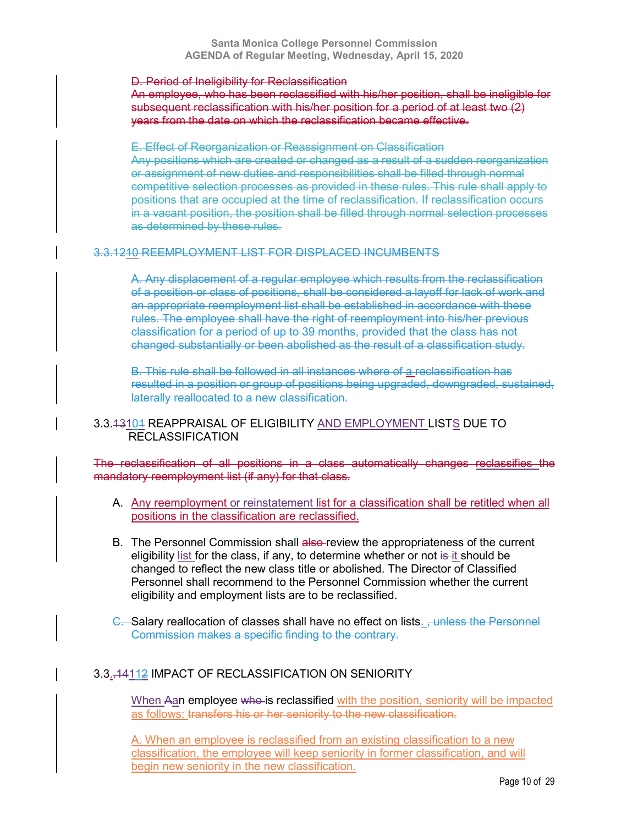### D. Period of Ineligibility for Reclassification

An employee, who has been reclassified with his/her position, shall be ineligible for subsequent reclassification with his/her position for a period of at least two (2) years from the date on which the reclassification became effective.

E. Effect of Reorganization or Reassignment on Classification Any positions which are created or changed as a result of a sudden reorganization or assignment of new duties and responsibilities shall be filled through normal competitive selection processes as provided in these rules. This rule shall apply to positions that are occupied at the time of reclassification. If reclassification occurs in a vacant position, the position shall be filled through normal selection processes as determined by these rules.

### 3.3.1210 REEMPLOYMENT LIST FOR DISPLACED INCUMBENTS

A. Any displacement of a regular employee which results from the reclassification of a position or class of positions, shall be considered a layoff for lack of work and an appropriate reemployment list shall be established in accordance with these rules. The employee shall have the right of reemployment into his/her previous classification for a period of up to 39 months, provided that the class has not changed substantially or been abolished as the result of a classification study.

B. This rule shall be followed in all instances where of a reclassification has resulted in a position or group of positions being upgraded, downgraded, sustained, laterally reallocated to a new classification.

### 3.3.43104 REAPPRAISAL OF ELIGIBILITY AND EMPLOYMENT LISTS DUE TO RECLASSIFICATION

The reclassification of all positions in a class automatically changes reclassifies the mandatory reemployment list (if any) for that class.

- A. Any reemployment or reinstatement list for a classification shall be retitled when all positions in the classification are reclassified.
- B. The Personnel Commission shall also-review the appropriateness of the current eligibility list for the class, if any, to determine whether or not is it should be changed to reflect the new class title or abolished. The Director of Classified Personnel shall recommend to the Personnel Commission whether the current eligibility and employment lists are to be reclassified.
- C. Salary reallocation of classes shall have no effect on lists. <del>, unless the Personnel</del> Commission makes a specific finding to the contrary.

### 3.3..14112 IMPACT OF RECLASSIFICATION ON SENIORITY

When Aan employee who is reclassified with the position, seniority will be impacted as follows: transfers his or her seniority to the new classification.

A. When an employee is reclassified from an existing classification to a new classification, the employee will keep seniority in former classification, and will begin new seniority in the new classification.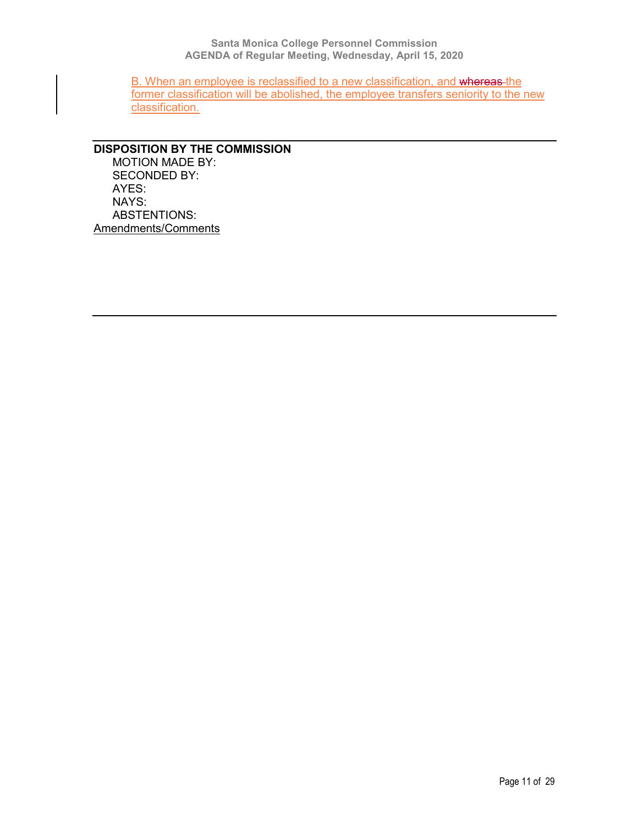B. When an employee is reclassified to a new classification, and whereas the former classification will be abolished, the employee transfers seniority to the new classification.

### **DISPOSITION BY THE COMMISSION** MOTION MADE BY: SECONDED BY: AYES:

NAYS: ABSTENTIONS: Amendments/Comments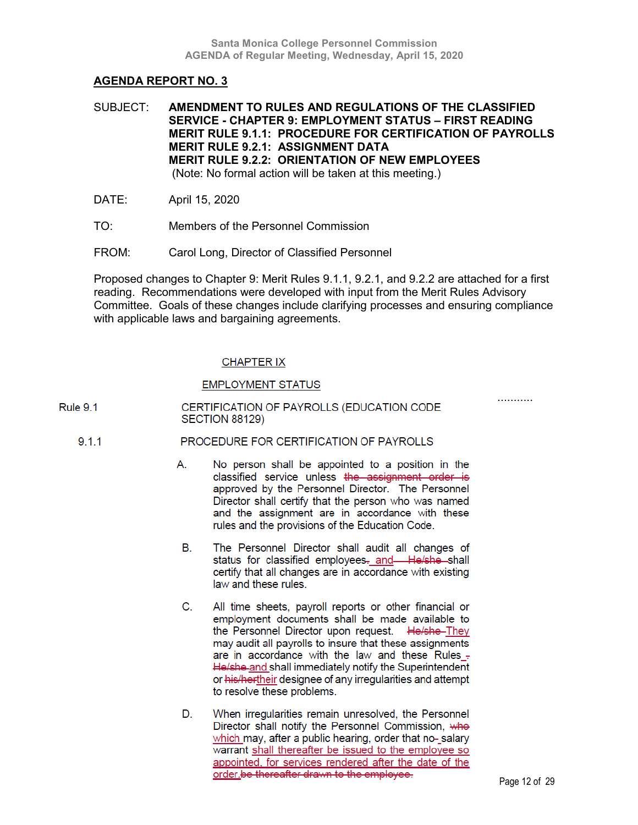SUBJECT: **AMENDMENT TO RULES AND REGULATIONS OF THE CLASSIFIED SERVICE - CHAPTER 9: EMPLOYMENT STATUS – FIRST READING MERIT RULE 9.1.1: PROCEDURE FOR CERTIFICATION OF PAYROLLS MERIT RULE 9.2.1: ASSIGNMENT DATA MERIT RULE 9.2.2: ORIENTATION OF NEW EMPLOYEES** (Note: No formal action will be taken at this meeting.)

- DATE: April 15, 2020
- TO: Members of the Personnel Commission
- FROM: Carol Long, Director of Classified Personnel

Proposed changes to Chapter 9: Merit Rules 9.1.1, 9.2.1, and 9.2.2 are attached for a first reading. Recommendations were developed with input from the Merit Rules Advisory Committee. Goals of these changes include clarifying processes and ensuring compliance with applicable laws and bargaining agreements.

### **CHAPTER IX**

### **EMPLOYMENT STATUS**

| Rule 9.1 | CERTIFICATION OF PAYROLLS (EDUCATION CODE |
|----------|-------------------------------------------|
|          | SECTION 88129)                            |

#### $9.1.1$ PROCEDURE FOR CERTIFICATION OF PAYROLLS

- А. No person shall be appointed to a position in the classified service unless the assignment order is approved by the Personnel Director. The Personnel Director shall certify that the person who was named and the assignment are in accordance with these rules and the provisions of the Education Code.
- The Personnel Director shall audit all changes of В. status for classified employees- and-He/she-shall certify that all changes are in accordance with existing law and these rules.
- C. All time sheets, payroll reports or other financial or employment documents shall be made available to the Personnel Director upon request. He/she-They may audit all payrolls to insure that these assignments are in accordance with the law and these Rules -He/she-and shall immediately notify the Superintendent or his/hertheir designee of any irregularities and attempt to resolve these problems.
- D. When irregularities remain unresolved, the Personnel Director shall notify the Personnel Commission, who which may, after a public hearing, order that no-salary warrant shall thereafter be issued to the employee so appointed, for services rendered after the date of the order be thereafter drawn to the employee.

...........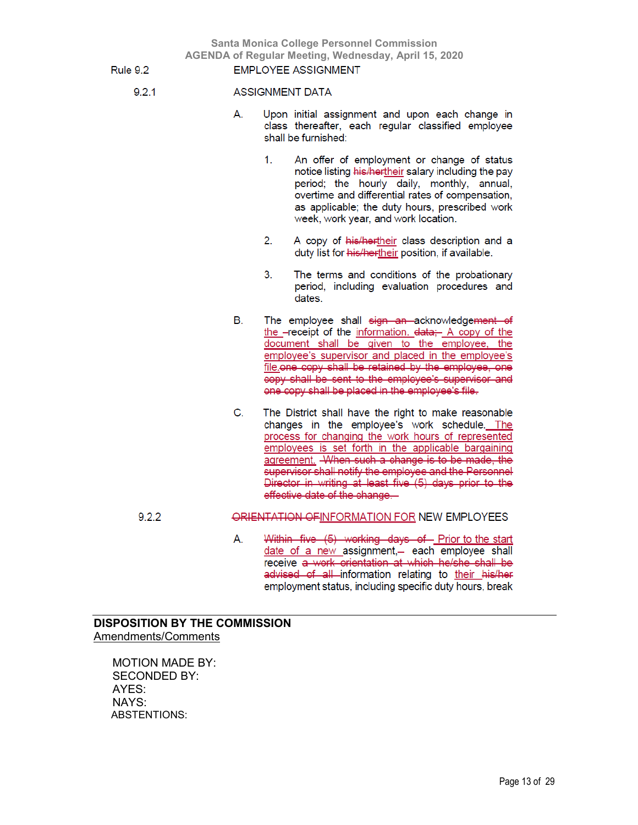**Santa Monica College Personnel Commission AGENDA of Regular Meeting, Wednesday, April 15, 2020 EMPLOYEE ASSIGNMENT** 

Rule 9.2

 $9.2.1$ 

### **ASSIGNMENT DATA**

- Upon initial assignment and upon each change in А. class thereafter, each regular classified employee shall be furnished:
	- $1<sup>1</sup>$ An offer of employment or change of status notice listing his/hertheir salary including the pay period; the hourly daily, monthly, annual, overtime and differential rates of compensation, as applicable; the duty hours, prescribed work week, work year, and work location.
	- A copy of his/hertheir class description and a 2. duty list for his/hertheir position, if available.
	- The terms and conditions of the probationary 3. period, including evaluation procedures and dates.
- В. The employee shall sign an acknowledgement of the -receipt of the information. data: A copy of the document shall be given to the employee, the employee's supervisor and placed in the employee's file.one copy shall be retained by the employee, one copy shall be sent to the employee's supervisor and one copy shall be placed in the employee's file.
- C. The District shall have the right to make reasonable changes in the employee's work schedule. The process for changing the work hours of represented employees is set forth in the applicable bargaining agreement. When such a change is to be made, the supervisor shall notify the employee and the Personnel Director in writing at least five (5) days prior to the effective date of the change.

#### ORIENTATION OF INFORMATION FOR NEW EMPLOYEES  $9.2.2$

Within five (5) working days of Prior to the start А. date of a new assignment,- each employee shall receive a work orientation at which he/she shall be advised of all information relating to their his/her employment status, including specific duty hours, break

### **DISPOSITION BY THE COMMISSION** Amendments/Comments

MOTION MADE BY: SECONDED BY: AYES: NAYS: ABSTENTIONS: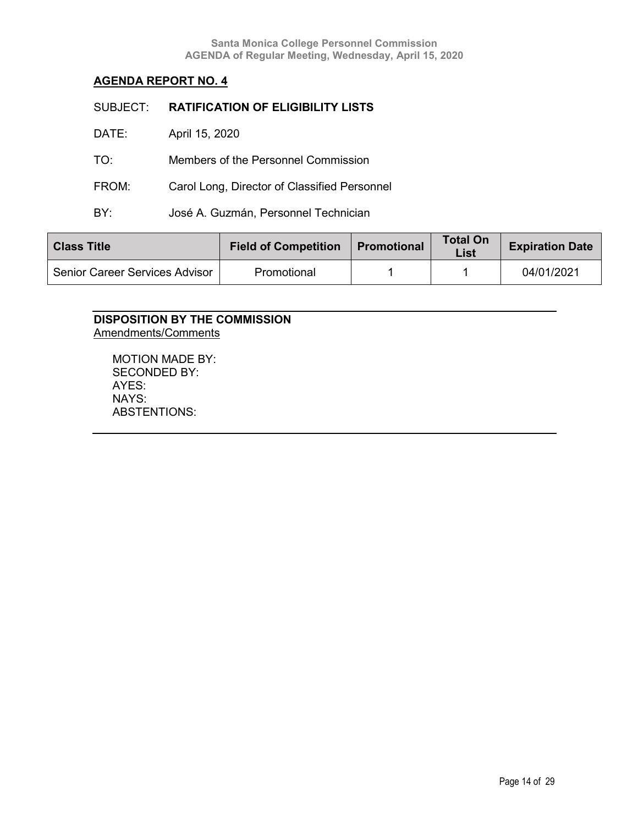| SUBJECT: | <b>RATIFICATION OF ELIGIBILITY LISTS</b>     |
|----------|----------------------------------------------|
| DATE:    | April 15, 2020                               |
| TO:      | Members of the Personnel Commission          |
| FROM:    | Carol Long, Director of Classified Personnel |
| BY.      | José A. Guzmán, Personnel Technician         |
|          |                                              |

| <b>Field of Competition</b><br><b>Class Title</b> |             | <b>Promotional</b> | <b>Total On</b><br>List | <b>Expiration Date</b> |
|---------------------------------------------------|-------------|--------------------|-------------------------|------------------------|
| Senior Career Services Advisor                    | Promotional |                    |                         | 04/01/2021             |

### **DISPOSITION BY THE COMMISSION** Amendments/Comments

MOTION MADE BY: SECONDED BY: AYES: NAYS: ABSTENTIONS: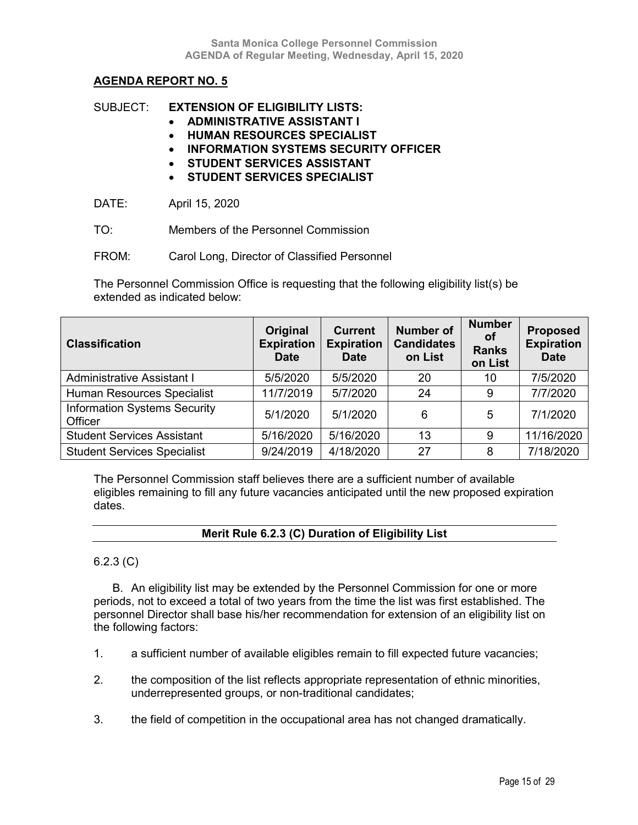### SUBJECT: **EXTENSION OF ELIGIBILITY LISTS:**

- **ADMINISTRATIVE ASSISTANT I**
- **HUMAN RESOURCES SPECIALIST**
- **INFORMATION SYSTEMS SECURITY OFFICER**
- **STUDENT SERVICES ASSISTANT**
- **STUDENT SERVICES SPECIALIST**

DATE: April 15, 2020

- TO: Members of the Personnel Commission
- FROM: Carol Long, Director of Classified Personnel

The Personnel Commission Office is requesting that the following eligibility list(s) be extended as indicated below:

| <b>Classification</b>                          | Original<br><b>Expiration</b><br><b>Date</b> | <b>Current</b><br><b>Expiration</b><br><b>Date</b> | <b>Number of</b><br><b>Candidates</b><br>on List | <b>Number</b><br>Οt<br><b>Ranks</b><br>on List | <b>Proposed</b><br><b>Expiration</b><br><b>Date</b> |
|------------------------------------------------|----------------------------------------------|----------------------------------------------------|--------------------------------------------------|------------------------------------------------|-----------------------------------------------------|
| Administrative Assistant I                     | 5/5/2020                                     | 5/5/2020                                           | 20                                               | 10                                             | 7/5/2020                                            |
| Human Resources Specialist                     | 11/7/2019                                    | 5/7/2020                                           | 24                                               | 9                                              | 7/7/2020                                            |
| <b>Information Systems Security</b><br>Officer | 5/1/2020                                     | 5/1/2020                                           | 6                                                | 5                                              | 7/1/2020                                            |
| <b>Student Services Assistant</b>              | 5/16/2020                                    | 5/16/2020                                          | 13                                               | 9                                              | 11/16/2020                                          |
| <b>Student Services Specialist</b>             | 9/24/2019                                    | 4/18/2020                                          | 27                                               | 8                                              | 7/18/2020                                           |

The Personnel Commission staff believes there are a sufficient number of available eligibles remaining to fill any future vacancies anticipated until the new proposed expiration dates.

### **Merit Rule 6.2.3 (C) Duration of Eligibility List**

### 6.2.3 (C)

B. An eligibility list may be extended by the Personnel Commission for one or more periods, not to exceed a total of two years from the time the list was first established. The personnel Director shall base his/her recommendation for extension of an eligibility list on the following factors:

- 1. a sufficient number of available eligibles remain to fill expected future vacancies;
- 2. the composition of the list reflects appropriate representation of ethnic minorities, underrepresented groups, or non-traditional candidates;
- 3. the field of competition in the occupational area has not changed dramatically.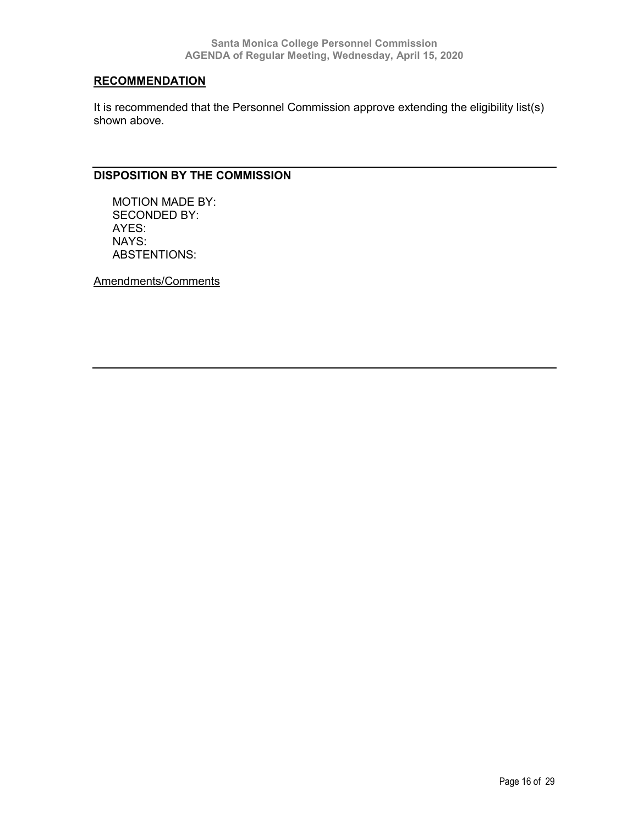### **RECOMMENDATION**

It is recommended that the Personnel Commission approve extending the eligibility list(s) shown above.

### **DISPOSITION BY THE COMMISSION**

MOTION MADE BY: SECONDED BY: AYES: NAYS: ABSTENTIONS:

Amendments/Comments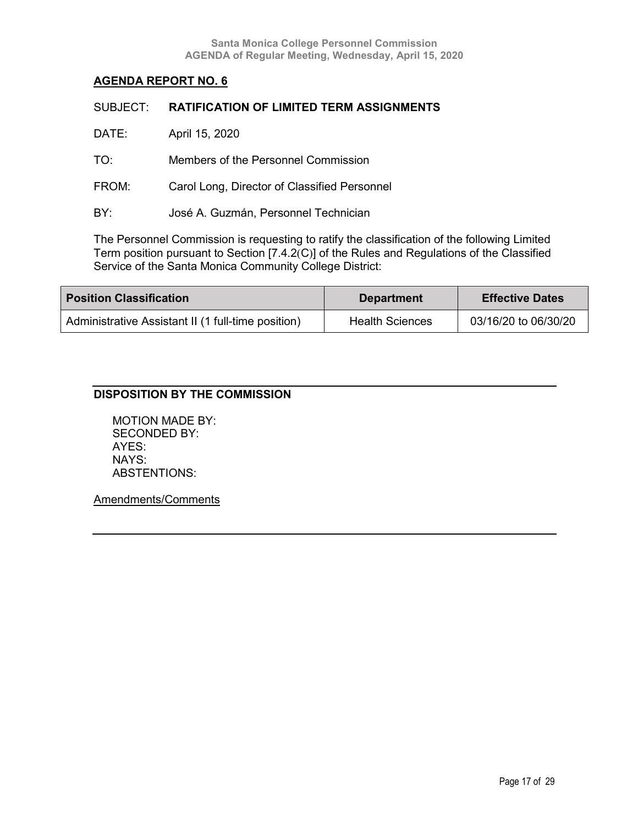| SUBJECT: | <b>RATIFICATION OF LIMITED TERM ASSIGNMENTS</b> |
|----------|-------------------------------------------------|
| DATE:    | April 15, 2020                                  |
| TO:      | Members of the Personnel Commission             |
| FROM:    | Carol Long, Director of Classified Personnel    |
| BY:      | José A. Guzmán, Personnel Technician            |
|          |                                                 |

The Personnel Commission is requesting to ratify the classification of the following Limited Term position pursuant to Section [7.4.2(C)] of the Rules and Regulations of the Classified Service of the Santa Monica Community College District:

| <b>Position Classification</b>                     | <b>Department</b>      | <b>Effective Dates</b> |
|----------------------------------------------------|------------------------|------------------------|
| Administrative Assistant II (1 full-time position) | <b>Health Sciences</b> | 03/16/20 to 06/30/20   |

### **DISPOSITION BY THE COMMISSION**

MOTION MADE BY: SECONDED BY: AYES: NAYS: ABSTENTIONS:

Amendments/Comments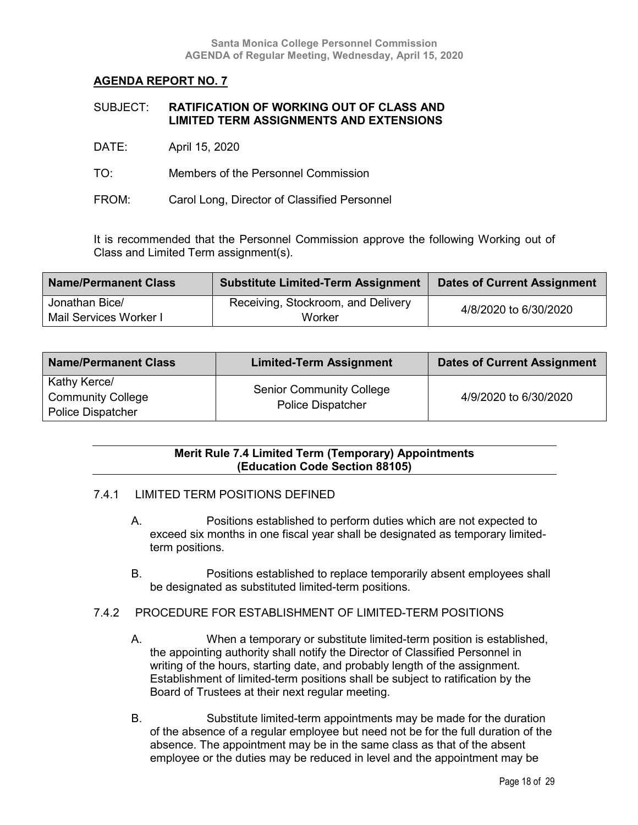| SUBJECT: | <b>RATIFICATION OF WORKING OUT OF CLASS AND</b> |
|----------|-------------------------------------------------|
|          | <b>LIMITED TERM ASSIGNMENTS AND EXTENSIONS</b>  |

- DATE: April 15, 2020
- TO: Members of the Personnel Commission
- FROM: Carol Long, Director of Classified Personnel

It is recommended that the Personnel Commission approve the following Working out of Class and Limited Term assignment(s).

| <b>Name/Permanent Class</b> | <b>Substitute Limited-Term Assignment</b> | <b>Dates of Current Assignment</b> |
|-----------------------------|-------------------------------------------|------------------------------------|
| Jonathan Bice/              | Receiving, Stockroom, and Delivery        | 4/8/2020 to 6/30/2020              |
| Mail Services Worker I      | Worker                                    |                                    |

| <b>Name/Permanent Class</b>                                          | <b>Limited-Term Assignment</b>                              | <b>Dates of Current Assignment</b> |
|----------------------------------------------------------------------|-------------------------------------------------------------|------------------------------------|
| Kathy Kerce/<br><b>Community College</b><br><b>Police Dispatcher</b> | <b>Senior Community College</b><br><b>Police Dispatcher</b> | 4/9/2020 to 6/30/2020              |

### **Merit Rule 7.4 Limited Term (Temporary) Appointments (Education Code Section 88105)**

### 7.4.1 LIMITED TERM POSITIONS DEFINED

- A. Positions established to perform duties which are not expected to exceed six months in one fiscal year shall be designated as temporary limitedterm positions.
- B. Positions established to replace temporarily absent employees shall be designated as substituted limited-term positions.
- 7.4.2 PROCEDURE FOR ESTABLISHMENT OF LIMITED-TERM POSITIONS
	- A. When a temporary or substitute limited-term position is established, the appointing authority shall notify the Director of Classified Personnel in writing of the hours, starting date, and probably length of the assignment. Establishment of limited-term positions shall be subject to ratification by the Board of Trustees at their next regular meeting.
	- B. Substitute limited-term appointments may be made for the duration of the absence of a regular employee but need not be for the full duration of the absence. The appointment may be in the same class as that of the absent employee or the duties may be reduced in level and the appointment may be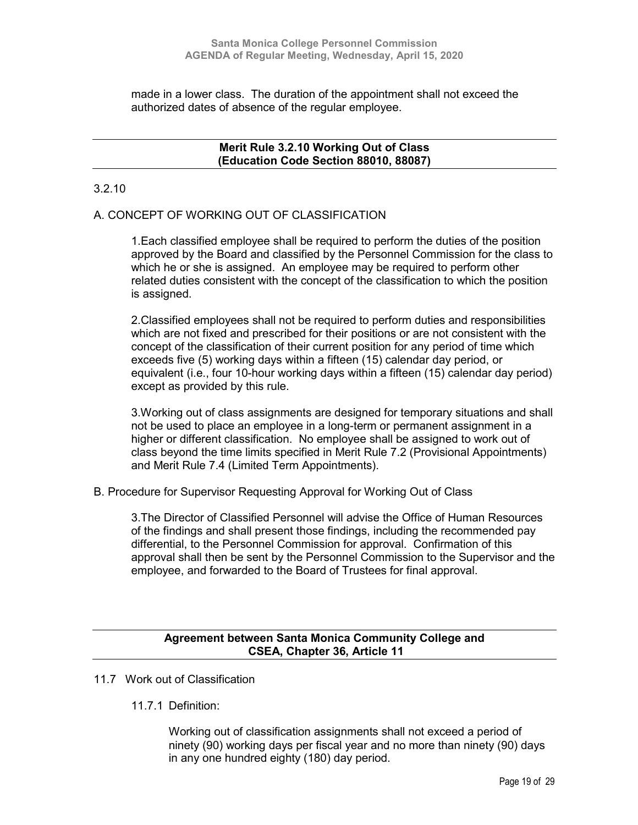made in a lower class. The duration of the appointment shall not exceed the authorized dates of absence of the regular employee.

### **Merit Rule 3.2.10 Working Out of Class (Education Code Section 88010, 88087)**

### 3.2.10

### A. CONCEPT OF WORKING OUT OF CLASSIFICATION

1.Each classified employee shall be required to perform the duties of the position approved by the Board and classified by the Personnel Commission for the class to which he or she is assigned. An employee may be required to perform other related duties consistent with the concept of the classification to which the position is assigned.

2.Classified employees shall not be required to perform duties and responsibilities which are not fixed and prescribed for their positions or are not consistent with the concept of the classification of their current position for any period of time which exceeds five (5) working days within a fifteen (15) calendar day period, or equivalent (i.e., four 10-hour working days within a fifteen (15) calendar day period) except as provided by this rule.

3.Working out of class assignments are designed for temporary situations and shall not be used to place an employee in a long-term or permanent assignment in a higher or different classification. No employee shall be assigned to work out of class beyond the time limits specified in Merit Rule 7.2 (Provisional Appointments) and Merit Rule 7.4 (Limited Term Appointments).

B. Procedure for Supervisor Requesting Approval for Working Out of Class

3.The Director of Classified Personnel will advise the Office of Human Resources of the findings and shall present those findings, including the recommended pay differential, to the Personnel Commission for approval. Confirmation of this approval shall then be sent by the Personnel Commission to the Supervisor and the employee, and forwarded to the Board of Trustees for final approval.

### **Agreement between Santa Monica Community College and CSEA, Chapter 36, Article 11**

- 11.7 Work out of Classification
	- 11.7.1 Definition:

Working out of classification assignments shall not exceed a period of ninety (90) working days per fiscal year and no more than ninety (90) days in any one hundred eighty (180) day period.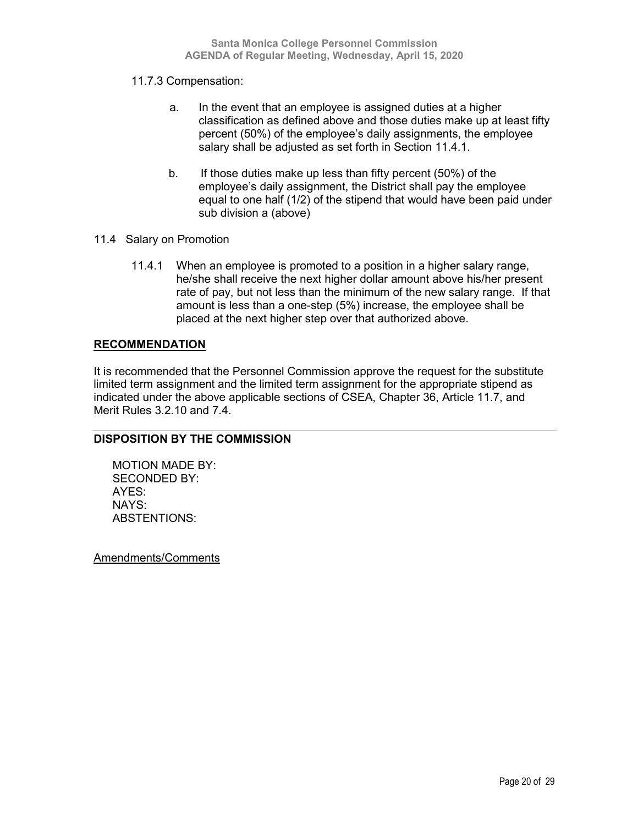### 11.7.3 Compensation:

- a. In the event that an employee is assigned duties at a higher classification as defined above and those duties make up at least fifty percent (50%) of the employee's daily assignments, the employee salary shall be adjusted as set forth in Section 11.4.1.
- b. If those duties make up less than fifty percent (50%) of the employee's daily assignment, the District shall pay the employee equal to one half (1/2) of the stipend that would have been paid under sub division a (above)
- 11.4 Salary on Promotion
	- 11.4.1 When an employee is promoted to a position in a higher salary range, he/she shall receive the next higher dollar amount above his/her present rate of pay, but not less than the minimum of the new salary range. If that amount is less than a one-step (5%) increase, the employee shall be placed at the next higher step over that authorized above.

### **RECOMMENDATION**

It is recommended that the Personnel Commission approve the request for the substitute limited term assignment and the limited term assignment for the appropriate stipend as indicated under the above applicable sections of CSEA, Chapter 36, Article 11.7, and Merit Rules 3.2.10 and 7.4.

### **DISPOSITION BY THE COMMISSION**

MOTION MADE BY: SECONDED BY: AYES: NAYS: ABSTENTIONS:

Amendments/Comments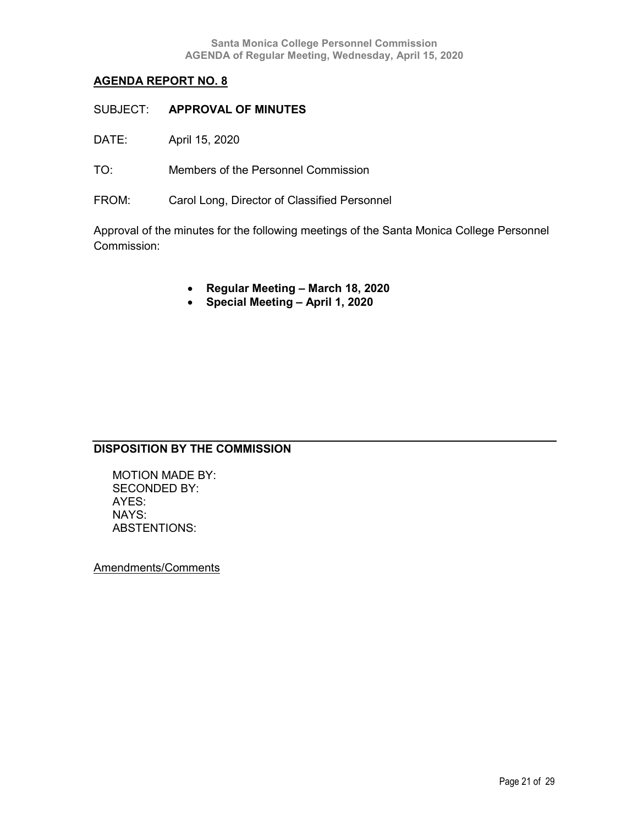- SUBJECT: **APPROVAL OF MINUTES**
- DATE: April 15, 2020
- TO: Members of the Personnel Commission
- FROM: Carol Long, Director of Classified Personnel

Approval of the minutes for the following meetings of the Santa Monica College Personnel Commission:

- **Regular Meeting – March 18, 2020**
- **Special Meeting – April 1, 2020**

### **DISPOSITION BY THE COMMISSION**

MOTION MADE BY: SECONDED BY: AYES: NAYS: ABSTENTIONS:

Amendments/Comments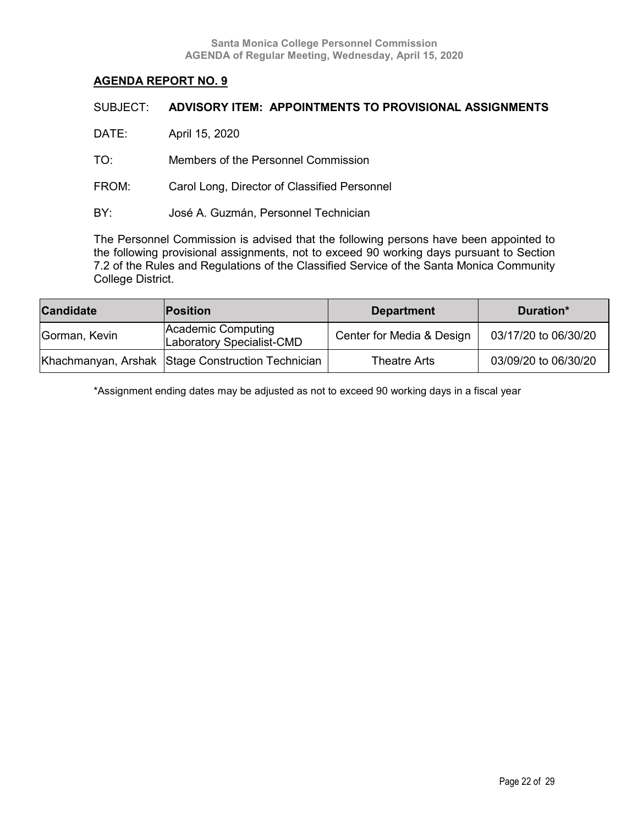| SUBJECT: | ADVISORY ITEM: APPOINTMENTS TO PROVISIONAL ASSIGNMENTS |
|----------|--------------------------------------------------------|
| DATE:    | April 15, 2020                                         |
| TO:      | Members of the Personnel Commission                    |
| FROM:    | Carol Long, Director of Classified Personnel           |
| BY:      | José A. Guzmán, Personnel Technician                   |
|          |                                                        |

The Personnel Commission is advised that the following persons have been appointed to the following provisional assignments, not to exceed 90 working days pursuant to Section 7.2 of the Rules and Regulations of the Classified Service of the Santa Monica Community College District.

| <b>Candidate</b> | <b>Position</b>                                   | <b>Department</b>         | Duration*            |
|------------------|---------------------------------------------------|---------------------------|----------------------|
| Gorman, Kevin    | Academic Computing<br>Laboratory Specialist-CMD   | Center for Media & Design | 03/17/20 to 06/30/20 |
|                  | Khachmanyan, Arshak Stage Construction Technician | Theatre Arts              | 03/09/20 to 06/30/20 |

\*Assignment ending dates may be adjusted as not to exceed 90 working days in a fiscal year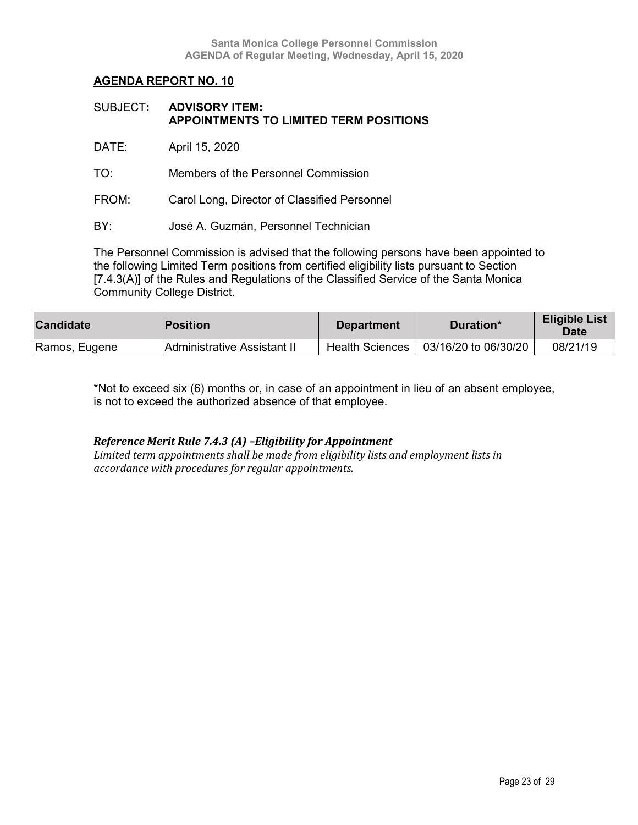| SUBJECT: ADVISORY ITEM:                |
|----------------------------------------|
| APPOINTMENTS TO LIMITED TERM POSITIONS |

DATE: April 15, 2020

TO: Members of the Personnel Commission

FROM: Carol Long, Director of Classified Personnel

BY: José A. Guzmán, Personnel Technician

The Personnel Commission is advised that the following persons have been appointed to the following Limited Term positions from certified eligibility lists pursuant to Section [7.4.3(A)] of the Rules and Regulations of the Classified Service of the Santa Monica Community College District.

| <b>Candidate</b> | <b>Position</b>             | <b>Department</b>      | Duration*            | <b>Eligible List</b><br><b>Date</b> |
|------------------|-----------------------------|------------------------|----------------------|-------------------------------------|
| Ramos, Eugene    | Administrative Assistant II | <b>Health Sciences</b> | 03/16/20 to 06/30/20 | 08/21/19                            |

\*Not to exceed six (6) months or, in case of an appointment in lieu of an absent employee, is not to exceed the authorized absence of that employee.

### *Reference Merit Rule 7.4.3 (A) –Eligibility for Appointment*

*Limited term appointments shall be made from eligibility lists and employment lists in accordance with procedures for regular appointments.*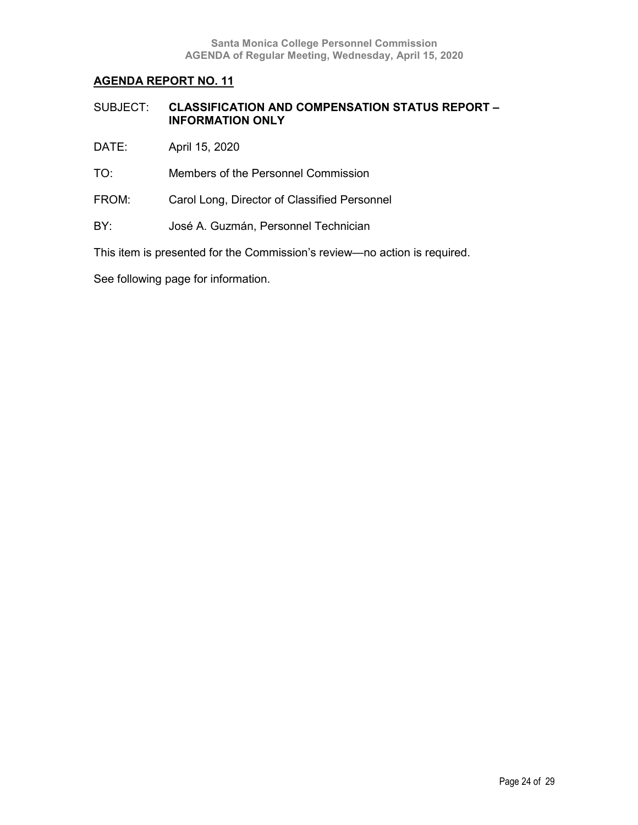| SUBJECT: | <b>CLASSIFICATION AND COMPENSATION STATUS REPORT -</b> |
|----------|--------------------------------------------------------|
|          | <b>INFORMATION ONLY</b>                                |

- DATE: April 15, 2020
- TO: Members of the Personnel Commission
- FROM: Carol Long, Director of Classified Personnel
- BY: José A. Guzmán, Personnel Technician

This item is presented for the Commission's review—no action is required.

See following page for information.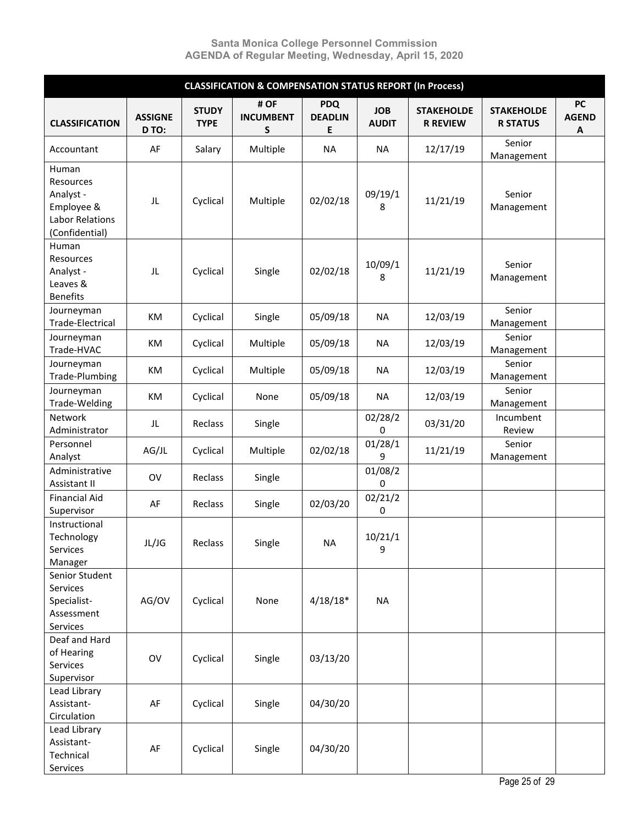| <b>CLASSIFICATION &amp; COMPENSATION STATUS REPORT (In Process)</b>                       |                         |                             |                               |                                   |                            |                                      |                                      |                                |
|-------------------------------------------------------------------------------------------|-------------------------|-----------------------------|-------------------------------|-----------------------------------|----------------------------|--------------------------------------|--------------------------------------|--------------------------------|
| <b>CLASSIFICATION</b>                                                                     | <b>ASSIGNE</b><br>D TO: | <b>STUDY</b><br><b>TYPE</b> | # OF<br><b>INCUMBENT</b><br>S | <b>PDQ</b><br><b>DEADLIN</b><br>Е | <b>JOB</b><br><b>AUDIT</b> | <b>STAKEHOLDE</b><br><b>R REVIEW</b> | <b>STAKEHOLDE</b><br><b>R STATUS</b> | <b>PC</b><br><b>AGEND</b><br>Α |
| Accountant                                                                                | AF                      | Salary                      | Multiple                      | <b>NA</b>                         | <b>NA</b>                  | 12/17/19                             | Senior<br>Management                 |                                |
| Human<br>Resources<br>Analyst -<br>Employee &<br><b>Labor Relations</b><br>(Confidential) | JL                      | Cyclical                    | Multiple                      | 02/02/18                          | 09/19/1<br>8               | 11/21/19                             | Senior<br>Management                 |                                |
| Human<br>Resources<br>Analyst -<br>Leaves &<br><b>Benefits</b>                            | JL                      | Cyclical                    | Single                        | 02/02/18                          | 10/09/1<br>8               | 11/21/19                             | Senior<br>Management                 |                                |
| Journeyman<br>Trade-Electrical                                                            | KM                      | Cyclical                    | Single                        | 05/09/18                          | <b>NA</b>                  | 12/03/19                             | Senior<br>Management                 |                                |
| Journeyman<br>Trade-HVAC                                                                  | KM                      | Cyclical                    | Multiple                      | 05/09/18                          | <b>NA</b>                  | 12/03/19                             | Senior<br>Management                 |                                |
| Journeyman<br>Trade-Plumbing                                                              | KM                      | Cyclical                    | Multiple                      | 05/09/18                          | <b>NA</b>                  | 12/03/19                             | Senior<br>Management                 |                                |
| Journeyman<br>Trade-Welding                                                               | KM                      | Cyclical                    | None                          | 05/09/18                          | <b>NA</b>                  | 12/03/19                             | Senior<br>Management                 |                                |
| Network<br>Administrator                                                                  | JL                      | Reclass                     | Single                        |                                   | 02/28/2<br>0               | 03/31/20                             | Incumbent<br>Review                  |                                |
| Personnel<br>Analyst                                                                      | AG/JL                   | Cyclical                    | Multiple                      | 02/02/18                          | 01/28/1<br>9               | 11/21/19                             | Senior<br>Management                 |                                |
| Administrative<br>Assistant II                                                            | OV                      | Reclass                     | Single                        |                                   | 01/08/2<br>0               |                                      |                                      |                                |
| <b>Financial Aid</b><br>Supervisor                                                        | AF                      | Reclass                     | Single                        | 02/03/20                          | 02/21/2<br>0               |                                      |                                      |                                |
| Instructional<br>Technology<br>Services<br>Manager                                        | JL/JG                   | Reclass                     | Single                        | ΝA                                | 10/21/1<br>9               |                                      |                                      |                                |
| Senior Student<br>Services<br>Specialist-<br>Assessment<br>Services                       | AG/OV                   | Cyclical                    | None                          | $4/18/18*$                        | <b>NA</b>                  |                                      |                                      |                                |
| Deaf and Hard<br>of Hearing<br>Services<br>Supervisor                                     | OV                      | Cyclical                    | Single                        | 03/13/20                          |                            |                                      |                                      |                                |
| Lead Library<br>Assistant-<br>Circulation                                                 | AF                      | Cyclical                    | Single                        | 04/30/20                          |                            |                                      |                                      |                                |
| Lead Library<br>Assistant-<br>Technical<br>Services                                       | AF                      | Cyclical                    | Single                        | 04/30/20                          |                            |                                      |                                      |                                |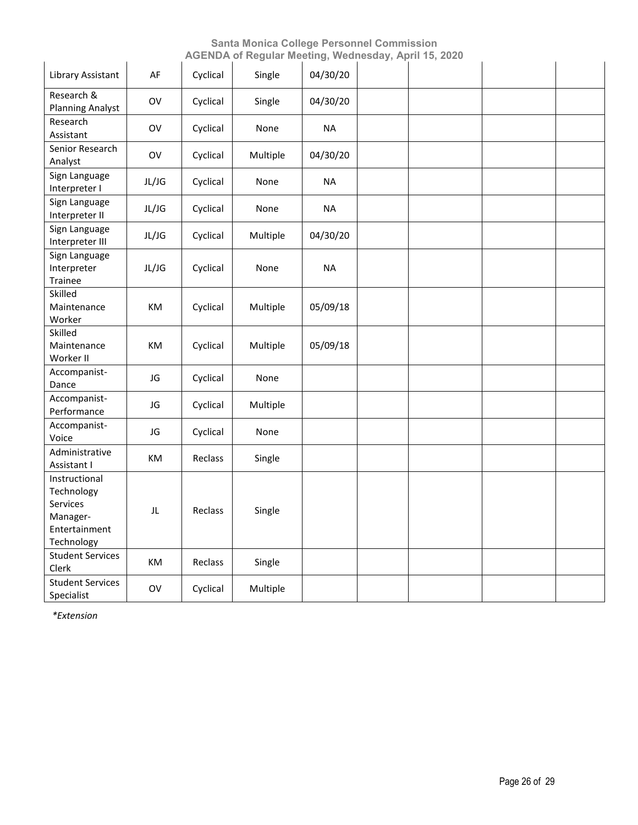|                                                                                    |       |          | AOLNDA OFROGHAF MOOGHIY, WOOHOOOGY, APHF10, 2020 |           |  |  |
|------------------------------------------------------------------------------------|-------|----------|--------------------------------------------------|-----------|--|--|
| Library Assistant                                                                  | AF    | Cyclical | Single                                           | 04/30/20  |  |  |
| Research &<br><b>Planning Analyst</b>                                              | OV    | Cyclical | Single                                           | 04/30/20  |  |  |
| Research<br>Assistant                                                              | OV    | Cyclical | None                                             | <b>NA</b> |  |  |
| Senior Research<br>Analyst                                                         | OV    | Cyclical | Multiple                                         | 04/30/20  |  |  |
| Sign Language<br>Interpreter I                                                     | JL/JG | Cyclical | None                                             | <b>NA</b> |  |  |
| Sign Language<br>Interpreter II                                                    | JL/JG | Cyclical | None                                             | <b>NA</b> |  |  |
| Sign Language<br>Interpreter III                                                   | JL/JG | Cyclical | Multiple                                         | 04/30/20  |  |  |
| Sign Language<br>Interpreter<br>Trainee                                            | JL/JG | Cyclical | None                                             | <b>NA</b> |  |  |
| Skilled<br>Maintenance<br>Worker                                                   | КM    | Cyclical | Multiple                                         | 05/09/18  |  |  |
| Skilled<br>Maintenance<br>Worker II                                                | KM    | Cyclical | Multiple                                         | 05/09/18  |  |  |
| Accompanist-<br>Dance                                                              | JG    | Cyclical | None                                             |           |  |  |
| Accompanist-<br>Performance                                                        | JG    | Cyclical | Multiple                                         |           |  |  |
| Accompanist-<br>Voice                                                              | JG    | Cyclical | None                                             |           |  |  |
| Administrative<br>Assistant I                                                      | KM    | Reclass  | Single                                           |           |  |  |
| Instructional<br>Technology<br>Services<br>Manager-<br>Entertainment<br>Technology | JL    | Reclass  | Single                                           |           |  |  |
| <b>Student Services</b><br>Clerk                                                   | КM    | Reclass  | Single                                           |           |  |  |
| <b>Student Services</b><br>Specialist                                              | OV    | Cyclical | Multiple                                         |           |  |  |

*\*Extension*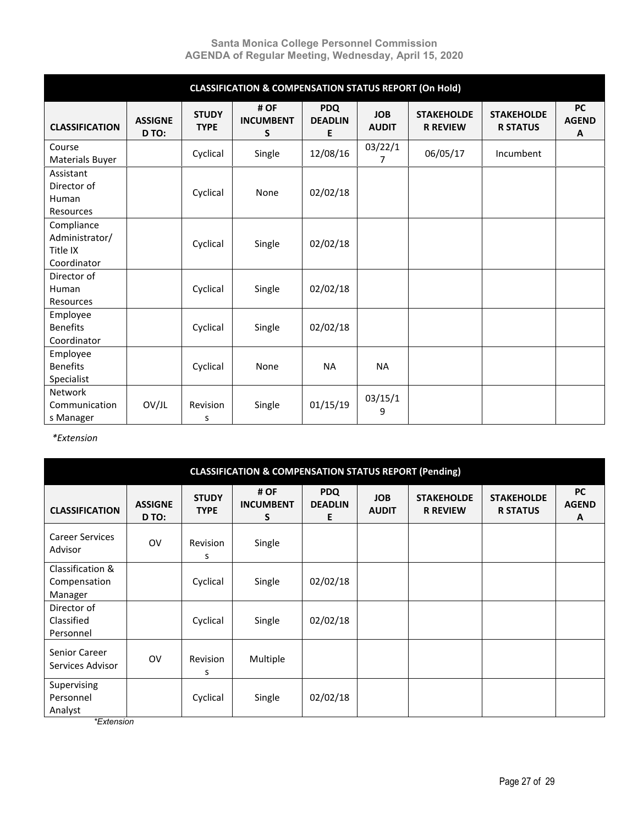|                                                         |                         |                             | <b>CLASSIFICATION &amp; COMPENSATION STATUS REPORT (On Hold)</b> |                                   |                            |                                      |                                      |                                |
|---------------------------------------------------------|-------------------------|-----------------------------|------------------------------------------------------------------|-----------------------------------|----------------------------|--------------------------------------|--------------------------------------|--------------------------------|
| <b>CLASSIFICATION</b>                                   | <b>ASSIGNE</b><br>D TO: | <b>STUDY</b><br><b>TYPE</b> | # OF<br><b>INCUMBENT</b><br>S                                    | <b>PDQ</b><br><b>DEADLIN</b><br>E | <b>JOB</b><br><b>AUDIT</b> | <b>STAKEHOLDE</b><br><b>R REVIEW</b> | <b>STAKEHOLDE</b><br><b>R STATUS</b> | <b>PC</b><br><b>AGEND</b><br>A |
| Course<br>Materials Buyer                               |                         | Cyclical                    | Single                                                           | 12/08/16                          | 03/22/1<br>$\overline{7}$  | 06/05/17                             | Incumbent                            |                                |
| Assistant<br>Director of<br>Human<br>Resources          |                         | Cyclical                    | None                                                             | 02/02/18                          |                            |                                      |                                      |                                |
| Compliance<br>Administrator/<br>Title IX<br>Coordinator |                         | Cyclical                    | Single                                                           | 02/02/18                          |                            |                                      |                                      |                                |
| Director of<br>Human<br><b>Resources</b>                |                         | Cyclical                    | Single                                                           | 02/02/18                          |                            |                                      |                                      |                                |
| Employee<br><b>Benefits</b><br>Coordinator              |                         | Cyclical                    | Single                                                           | 02/02/18                          |                            |                                      |                                      |                                |
| Employee<br><b>Benefits</b><br>Specialist               |                         | Cyclical                    | None                                                             | <b>NA</b>                         | <b>NA</b>                  |                                      |                                      |                                |
| Network<br>Communication<br>s Manager                   | OV/JL                   | Revision<br>s               | Single                                                           | 01/15/19                          | 03/15/1<br>9               |                                      |                                      |                                |

*\*Extension* 

| <b>CLASSIFICATION &amp; COMPENSATION STATUS REPORT (Pending)</b> |                         |                             |                               |                                   |                            |                                      |                                      |                                |
|------------------------------------------------------------------|-------------------------|-----------------------------|-------------------------------|-----------------------------------|----------------------------|--------------------------------------|--------------------------------------|--------------------------------|
| <b>CLASSIFICATION</b>                                            | <b>ASSIGNE</b><br>D TO: | <b>STUDY</b><br><b>TYPE</b> | # OF<br><b>INCUMBENT</b><br>S | <b>PDQ</b><br><b>DEADLIN</b><br>E | <b>JOB</b><br><b>AUDIT</b> | <b>STAKEHOLDE</b><br><b>R REVIEW</b> | <b>STAKEHOLDE</b><br><b>R STATUS</b> | <b>PC</b><br><b>AGEND</b><br>A |
| <b>Career Services</b><br>Advisor                                | <b>OV</b>               | Revision<br>S               | Single                        |                                   |                            |                                      |                                      |                                |
| Classification &<br>Compensation<br>Manager                      |                         | Cyclical                    | Single                        | 02/02/18                          |                            |                                      |                                      |                                |
| Director of<br>Classified<br>Personnel                           |                         | Cyclical                    | Single                        | 02/02/18                          |                            |                                      |                                      |                                |
| Senior Career<br>Services Advisor                                | <b>OV</b>               | Revision<br>s               | Multiple                      |                                   |                            |                                      |                                      |                                |
| Supervising<br>Personnel<br>Analyst                              |                         | Cyclical                    | Single                        | 02/02/18                          |                            |                                      |                                      |                                |

*\*Extension*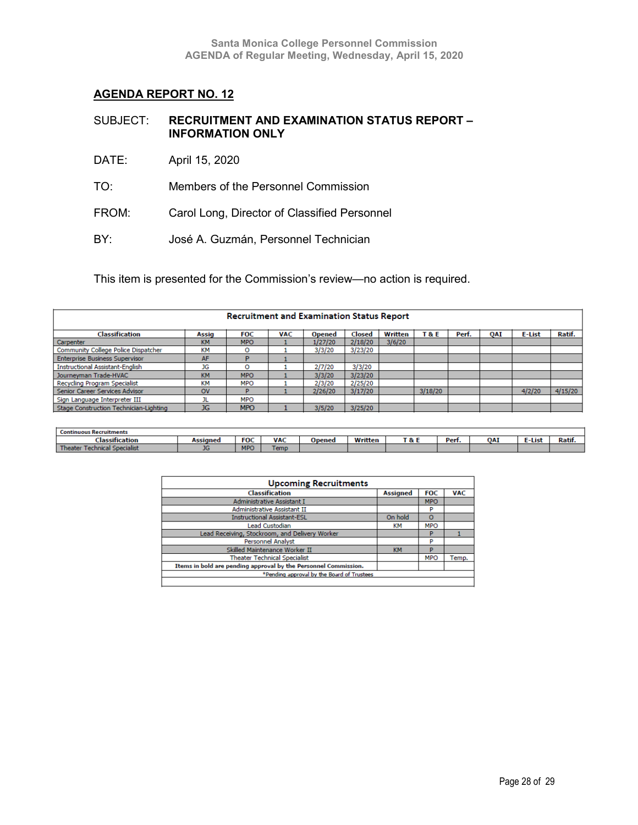| SUBJECT: | <b>RECRUITMENT AND EXAMINATION STATUS REPORT -</b> |
|----------|----------------------------------------------------|
|          | <b>INFORMATION ONLY</b>                            |

- DATE: April 15, 2020
- TO: Members of the Personnel Commission
- FROM: Carol Long, Director of Classified Personnel
- BY: José A. Guzmán, Personnel Technician

This item is presented for the Commission's review—no action is required.

| <b>Recruitment and Examination Status Report</b> |              |            |            |               |         |         |         |       |            |        |         |
|--------------------------------------------------|--------------|------------|------------|---------------|---------|---------|---------|-------|------------|--------|---------|
| Classification                                   | <b>Assig</b> | <b>FOC</b> | <b>VAC</b> | <b>Opened</b> | Closed  | Written | T&E     | Perf. | <b>OAI</b> | E-List | Ratif.  |
| Carpenter                                        | <b>KM</b>    | <b>MPO</b> |            | 1/27/20       | 2/18/20 | 3/6/20  |         |       |            |        |         |
| Community College Police Dispatcher              | KM           | o          |            | 3/3/20        | 3/23/20 |         |         |       |            |        |         |
| <b>Enterprise Business Supervisor</b>            | AF           |            |            |               |         |         |         |       |            |        |         |
| <b>Instructional Assistant-English</b>           | JG           | o          |            | 2/7/20        | 3/3/20  |         |         |       |            |        |         |
| Journeyman Trade-HVAC                            | <b>KM</b>    | <b>MPO</b> |            | 3/3/20        | 3/23/20 |         |         |       |            |        |         |
| Recycling Program Specialist                     | <b>KM</b>    | <b>MPO</b> |            | 2/3/20        | 2/25/20 |         |         |       |            |        |         |
| Senior Career Services Advisor                   | <b>OV</b>    | D          |            | 2/26/20       | 3/17/20 |         | 3/18/20 |       |            | 4/2/20 | 4/15/20 |
| Sign Language Interpreter III                    |              | <b>MPO</b> |            |               |         |         |         |       |            |        |         |
| Stage Construction Technician-Lighting           | <b>JG</b>    | <b>MPO</b> |            | 3/5/20        | 3/25/20 |         |         |       |            |        |         |

| erunments: |                    |            |                 |             |                            |            |     |      |               |
|------------|--------------------|------------|-----------------|-------------|----------------------------|------------|-----|------|---------------|
| ition      |                    | <b>FOC</b> | VA <sub>(</sub> | <b>SHAN</b> | <br><br>г о.<br>$\alpha$ . | Do<br>теп. | 0A) | -Lis | $\sim$<br>каш |
|            | <b>START</b><br>טע | <b>MPC</b> | сши             |             |                            |            |     |      |               |

| <b>Upcoming Recruitments</b>                                    |                 |            |            |  |  |  |  |
|-----------------------------------------------------------------|-----------------|------------|------------|--|--|--|--|
| <b>Classification</b>                                           | <b>Assigned</b> | <b>FOC</b> | <b>VAC</b> |  |  |  |  |
| Administrative Assistant I                                      |                 | <b>MPO</b> |            |  |  |  |  |
| <b>Administrative Assistant II</b>                              |                 | P          |            |  |  |  |  |
| <b>Instructional Assistant-ESL</b>                              | On hold         | $\circ$    |            |  |  |  |  |
| <b>Lead Custodian</b>                                           | KМ              | <b>MPO</b> |            |  |  |  |  |
| Lead Receiving, Stockroom, and Delivery Worker                  |                 | P          |            |  |  |  |  |
| <b>Personnel Analyst</b>                                        |                 | P          |            |  |  |  |  |
| Skilled Maintenance Worker II                                   | <b>KM</b>       | P          |            |  |  |  |  |
| <b>Theater Technical Specialist</b>                             |                 | <b>MPO</b> | Temp.      |  |  |  |  |
| Items in bold are pending approval by the Personnel Commission. |                 |            |            |  |  |  |  |
| *Pending approval by the Board of Trustees                      |                 |            |            |  |  |  |  |
|                                                                 |                 |            |            |  |  |  |  |